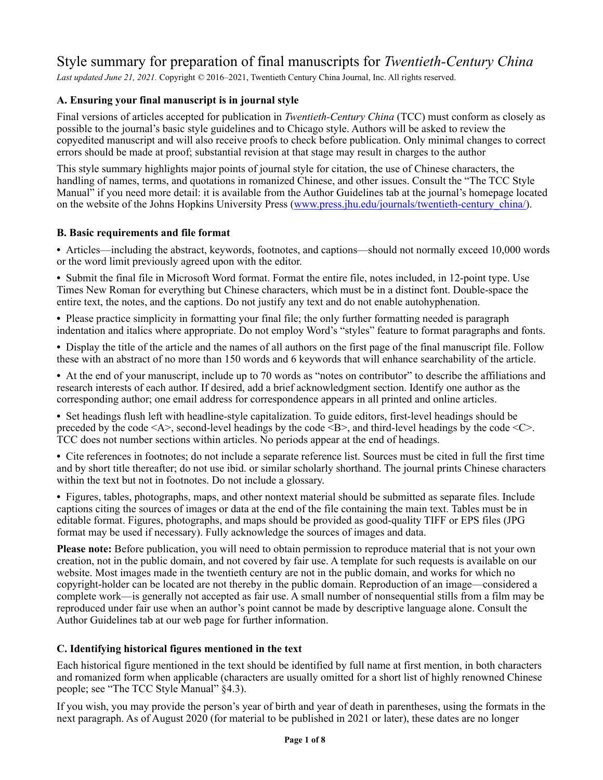# Style summary for preparation of final manuscripts for *Twentieth-Century China*

*Last updated June 21, 2021.* Copyright *©* 2016–2021, Twentieth Century China Journal, Inc. All rights reserved.

# **A. Ensuring your final manuscript is in journal style**

Final versions of articles accepted for publication in *Twentieth-Century China* (TCC) must conform as closely as possible to the journal's basic style guidelines and to Chicago style. Authors will be asked to review the copyedited manuscript and will also receive proofs to check before publication. Only minimal changes to correct errors should be made at proof; substantial revision at that stage may result in charges to the author

This style summary highlights major points of journal style for citation, the use of Chinese characters, the handling of names, terms, and quotations in romanized Chinese, and other issues. Consult the "The TCC Style Manual" if you need more detail: it is available from the Author Guidelines tab at the journal's homepage located on the website of the Johns Hopkins University Press ([www.press.jhu.edu/journals/twentieth-century\\_china/](http://www.press.jhu.edu/journals/twentieth-century_china/)).

# **B. Basic requirements and file format**

**•** Articles—including the abstract, keywords, footnotes, and captions—should not normally exceed 10,000 words or the word limit previously agreed upon with the editor.

**•** Submit the final file in Microsoft Word format. Format the entire file, notes included, in 12-point type. Use Times New Roman for everything but Chinese characters, which must be in a distinct font. Double-space the entire text, the notes, and the captions. Do not justify any text and do not enable autohyphenation.

• Please practice simplicity in formatting your final file; the only further formatting needed is paragraph indentation and italics where appropriate. Do not employ Word's "styles" feature to format paragraphs and fonts.

**•** Display the title of the article and the names of all authors on the first page of the final manuscript file. Follow these with an abstract of no more than 150 words and 6 keywords that will enhance searchability of the article.

**•** At the end of your manuscript, include up to 70 words as "notes on contributor" to describe the affiliations and research interests of each author. If desired, add a brief acknowledgment section. Identify one author as the corresponding author; one email address for correspondence appears in all printed and online articles.

**•** Set headings flush left with headline-style capitalization. To guide editors, first-level headings should be preceded by the code <A>, second-level headings by the code <B>, and third-level headings by the code <C>. TCC does not number sections within articles. No periods appear at the end of headings.

**•** Cite references in footnotes; do not include a separate reference list. Sources must be cited in full the first time and by short title thereafter; do not use ibid. or similar scholarly shorthand. The journal prints Chinese characters within the text but not in footnotes. Do not include a glossary.

**•** Figures, tables, photographs, maps, and other nontext material should be submitted as separate files. Include captions citing the sources of images or data at the end of the file containing the main text. Tables must be in editable format. Figures, photographs, and maps should be provided as good-quality TIFF or EPS files (JPG format may be used if necessary). Fully acknowledge the sources of images and data.

**Please note:** Before publication, you will need to obtain permission to reproduce material that is not your own creation, not in the public domain, and not covered by fair use. A template for such requests is available on our website. Most images made in the twentieth century are not in the public domain, and works for which no copyright-holder can be located are not thereby in the public domain. Reproduction of an image—considered a complete work—is generally not accepted as fair use. A small number of nonsequential stills from a film may be reproduced under fair use when an author's point cannot be made by descriptive language alone. Consult the [Author Guidelines](https://www.press.jhu.edu/journals/twentieth-century-china/author-guidelines) tab at our web page for further information.

# **C. Identifying historical figures mentioned in the text**

Each historical figure mentioned in the text should be identified by full name at first mention, in both characters and romanized form when applicable (characters are usually omitted for a short list of highly renowned Chinese people; see "The TCC Style Manual" §4.3).

If you wish, you may provide the person's year of birth and year of death in parentheses, using the formats in the next paragraph. As of August 2020 (for material to be published in 2021 or later), these dates are no longer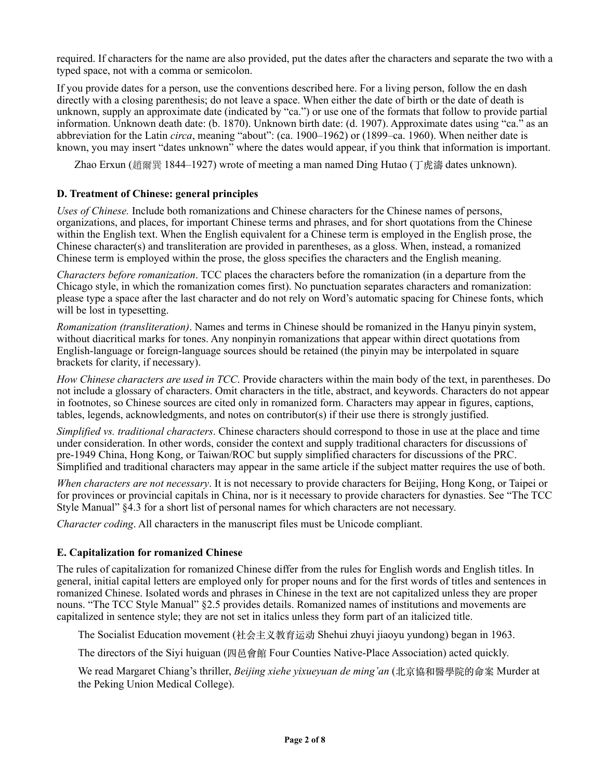required. If characters for the name are also provided, put the dates after the characters and separate the two with a typed space, not with a comma or semicolon.

If you provide dates for a person, use the conventions described here. For a living person, follow the en dash directly with a closing parenthesis; do not leave a space. When either the date of birth or the date of death is unknown, supply an approximate date (indicated by "ca.") or use one of the formats that follow to provide partial information. Unknown death date: (b. 1870). Unknown birth date: (d. 1907). Approximate dates using "ca." as an abbreviation for the Latin *circa*, meaning "about": (ca. 1900–1962) or (1899–ca. 1960). When neither date is known, you may insert "dates unknown" where the dates would appear, if you think that information is important.

Zhao Erxun (趙爾巽 1844–1927) wrote of meeting a man named Ding Hutao (丁虎濤 dates unknown).

#### **D. Treatment of Chinese: general principles**

*Uses of Chinese.* Include both romanizations and Chinese characters for the Chinese names of persons, organizations, and places, for important Chinese terms and phrases, and for short quotations from the Chinese within the English text. When the English equivalent for a Chinese term is employed in the English prose, the Chinese character(s) and transliteration are provided in parentheses, as a gloss. When, instead, a romanized Chinese term is employed within the prose, the gloss specifies the characters and the English meaning.

*Characters before romanization*. TCC places the characters before the romanization (in a departure from the Chicago style, in which the romanization comes first). No punctuation separates characters and romanization: please type a space after the last character and do not rely on Word's automatic spacing for Chinese fonts, which will be lost in typesetting.

*Romanization (transliteration)*. Names and terms in Chinese should be romanized in the Hanyu pinyin system, without diacritical marks for tones. Any nonpinyin romanizations that appear within direct quotations from English-language or foreign-language sources should be retained (the pinyin may be interpolated in square brackets for clarity, if necessary).

*How Chinese characters are used in TCC*. Provide characters within the main body of the text, in parentheses. Do not include a glossary of characters. Omit characters in the title, abstract, and keywords. Characters do not appear in footnotes, so Chinese sources are cited only in romanized form. Characters may appear in figures, captions, tables, legends, acknowledgments, and notes on contributor(s) if their use there is strongly justified.

*Simplified vs. traditional characters*. Chinese characters should correspond to those in use at the place and time under consideration. In other words, consider the context and supply traditional characters for discussions of pre-1949 China, Hong Kong, or Taiwan/ROC but supply simplified characters for discussions of the PRC. Simplified and traditional characters may appear in the same article if the subject matter requires the use of both.

*When characters are not necessary*. It is not necessary to provide characters for Beijing, Hong Kong, or Taipei or for provinces or provincial capitals in China, nor is it necessary to provide characters for dynasties. See "The TCC Style Manual" §4.3 for a short list of personal names for which characters are not necessary.

*Character coding*. All characters in the manuscript files must be Unicode compliant.

#### **E. Capitalization for romanized Chinese**

The rules of capitalization for romanized Chinese differ from the rules for English words and English titles. In general, initial capital letters are employed only for proper nouns and for the first words of titles and sentences in romanized Chinese. Isolated words and phrases in Chinese in the text are not capitalized unless they are proper nouns. "The TCC Style Manual" §2.5 provides details. Romanized names of institutions and movements are capitalized in sentence style; they are not set in italics unless they form part of an italicized title.

The Socialist Education movement (社会主义教育运动 Shehui zhuyi jiaoyu yundong) began in 1963.

The directors of the Siyi huiguan (四⾢會館 Four Counties Native-Place Association) acted quickly.

We read Margaret Chiang's thriller, *Beijing xiehe yixueyuan de ming'an* (北京協和醫學院的命案 Murder at the Peking Union Medical College).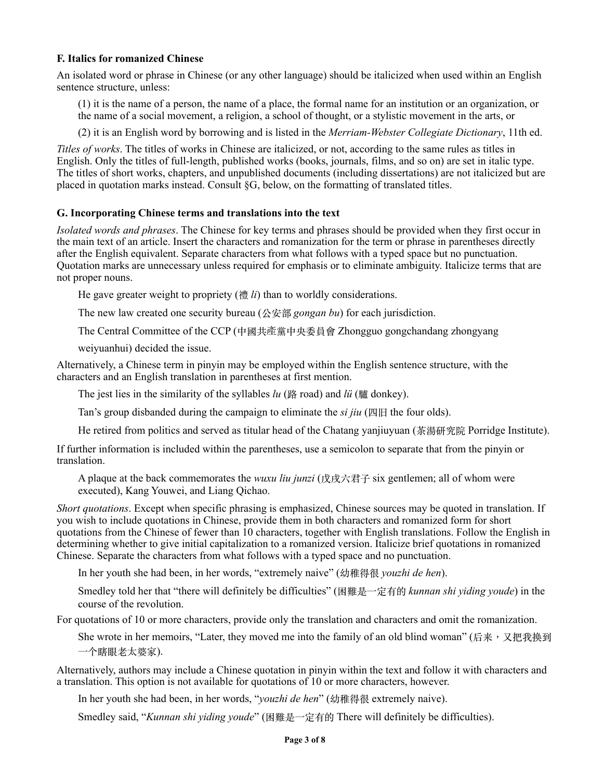#### **F. Italics for romanized Chinese**

An isolated word or phrase in Chinese (or any other language) should be italicized when used within an English sentence structure, unless:

(1) it is the name of a person, the name of a place, the formal name for an institution or an organization, or the name of a social movement, a religion, a school of thought, or a stylistic movement in the arts, or

(2) it is an English word by borrowing and is listed in the *Merriam-Webster Collegiate Dictionary*, 11th ed.

*Titles of works*. The titles of works in Chinese are italicized, or not, according to the same rules as titles in English. Only the titles of full-length, published works (books, journals, films, and so on) are set in italic type. The titles of short works, chapters, and unpublished documents (including dissertations) are not italicized but are placed in quotation marks instead. Consult §G, below, on the formatting of translated titles.

#### **G. Incorporating Chinese terms and translations into the text**

*Isolated words and phrases*. The Chinese for key terms and phrases should be provided when they first occur in the main text of an article. Insert the characters and romanization for the term or phrase in parentheses directly after the English equivalent. Separate characters from what follows with a typed space but no punctuation. Quotation marks are unnecessary unless required for emphasis or to eliminate ambiguity. Italicize terms that are not proper nouns.

He gave greater weight to propriety (禮 *li*) than to worldly considerations.

The new law created one security bureau (公安部 *gongan bu*) for each jurisdiction.

The Central Committee of the CCP (中國共產黨中央委員會 Zhongguo gongchandang zhongyang

weiyuanhui) decided the issue.

Alternatively, a Chinese term in pinyin may be employed within the English sentence structure, with the characters and an English translation in parentheses at first mention.

The jest lies in the similarity of the syllables *lu* (路 road) and *lü* (驢 donkey).

Tan's group disbanded during the campaign to eliminate the *si jiu* (四旧 the four olds).

He retired from politics and served as titular head of the Chatang yanjiuyuan (茶湯研究院 Porridge Institute).

If further information is included within the parentheses, use a semicolon to separate that from the pinyin or translation.

A plaque at the back commemorates the *wuxu liu junzi* (戊戌六君子 six gentlemen; all of whom were executed), Kang Youwei, and Liang Qichao.

*Short quotations*. Except when specific phrasing is emphasized, Chinese sources may be quoted in translation. If you wish to include quotations in Chinese, provide them in both characters and romanized form for short quotations from the Chinese of fewer than 10 characters, together with English translations. Follow the English in determining whether to give initial capitalization to a romanized version. Italicize brief quotations in romanized Chinese. Separate the characters from what follows with a typed space and no punctuation.

In her youth she had been, in her words, "extremely naive" (幼稚得很 *youzhi de hen*).

Smedley told her that "there will definitely be difficulties" (困難是⼀定有的 *kunnan shi yiding youde*) in the course of the revolution.

For quotations of 10 or more characters, provide only the translation and characters and omit the romanization.

She wrote in her memoirs, "Later, they moved me into the family of an old blind woman" (后来,又把我换到 一个瞎眼老太婆家).

Alternatively, authors may include a Chinese quotation in pinyin within the text and follow it with characters and a translation. This option is not available for quotations of 10 or more characters, however.

In her youth she had been, in her words, "*youzhi de hen*" (幼稚得很 extremely naive).

Smedley said, "*Kunnan shi yiding youde*" (困難是⼀定有的 There will definitely be difficulties).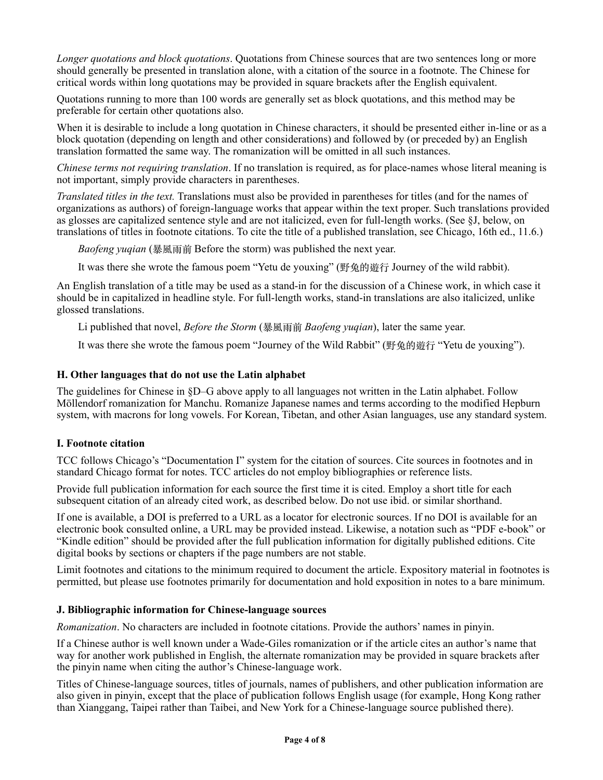*Longer quotations and block quotations*. Quotations from Chinese sources that are two sentences long or more should generally be presented in translation alone, with a citation of the source in a footnote. The Chinese for critical words within long quotations may be provided in square brackets after the English equivalent.

Quotations running to more than 100 words are generally set as block quotations, and this method may be preferable for certain other quotations also.

When it is desirable to include a long quotation in Chinese characters, it should be presented either in-line or as a block quotation (depending on length and other considerations) and followed by (or preceded by) an English translation formatted the same way. The romanization will be omitted in all such instances.

*Chinese terms not requiring translation*. If no translation is required, as for place-names whose literal meaning is not important, simply provide characters in parentheses.

*Translated titles in the text.* Translations must also be provided in parentheses for titles (and for the names of organizations as authors) of foreign-language works that appear within the text proper. Such translations provided as glosses are capitalized sentence style and are not italicized, even for full-length works. (See §J, below, on translations of titles in footnote citations. To cite the title of a published translation, see Chicago, 16th ed., 11.6.)

*Baofeng yuqian* (暴風⾬前 Before the storm) was published the next year.

It was there she wrote the famous poem "Yetu de youxing" (野兔的遊⾏ Journey of the wild rabbit).

An English translation of a title may be used as a stand-in for the discussion of a Chinese work, in which case it should be in capitalized in headline style. For full-length works, stand-in translations are also italicized, unlike glossed translations.

Li published that novel, *Before the Storm* (暴風雨前 *Baofeng yuqian*), later the same year.

It was there she wrote the famous poem "Journey of the Wild Rabbit" (野兔的遊行 "Yetu de youxing").

#### **H. Other languages that do not use the Latin alphabet**

The guidelines for Chinese in §D–G above apply to all languages not written in the Latin alphabet. Follow Möllendorf romanization for Manchu. Romanize Japanese names and terms according to the modified Hepburn system, with macrons for long vowels. For Korean, Tibetan, and other Asian languages, use any standard system.

#### **I. Footnote citation**

TCC follows Chicago's "Documentation I" system for the citation of sources. Cite sources in footnotes and in standard Chicago format for notes. TCC articles do not employ bibliographies or reference lists.

Provide full publication information for each source the first time it is cited. Employ a short title for each subsequent citation of an already cited work, as described below. Do not use ibid. or similar shorthand.

If one is available, a DOI is preferred to a URL as a locator for electronic sources. If no DOI is available for an electronic book consulted online, a URL may be provided instead. Likewise, a notation such as "PDF e-book" or "Kindle edition" should be provided after the full publication information for digitally published editions. Cite digital books by sections or chapters if the page numbers are not stable.

Limit footnotes and citations to the minimum required to document the article. Expository material in footnotes is permitted, but please use footnotes primarily for documentation and hold exposition in notes to a bare minimum.

#### **J. Bibliographic information for Chinese-language sources**

*Romanization*. No characters are included in footnote citations. Provide the authors' names in pinyin.

If a Chinese author is well known under a Wade-Giles romanization or if the article cites an author's name that way for another work published in English, the alternate romanization may be provided in square brackets after the pinyin name when citing the author's Chinese-language work.

Titles of Chinese-language sources, titles of journals, names of publishers, and other publication information are also given in pinyin, except that the place of publication follows English usage (for example, Hong Kong rather than Xianggang, Taipei rather than Taibei, and New York for a Chinese-language source published there).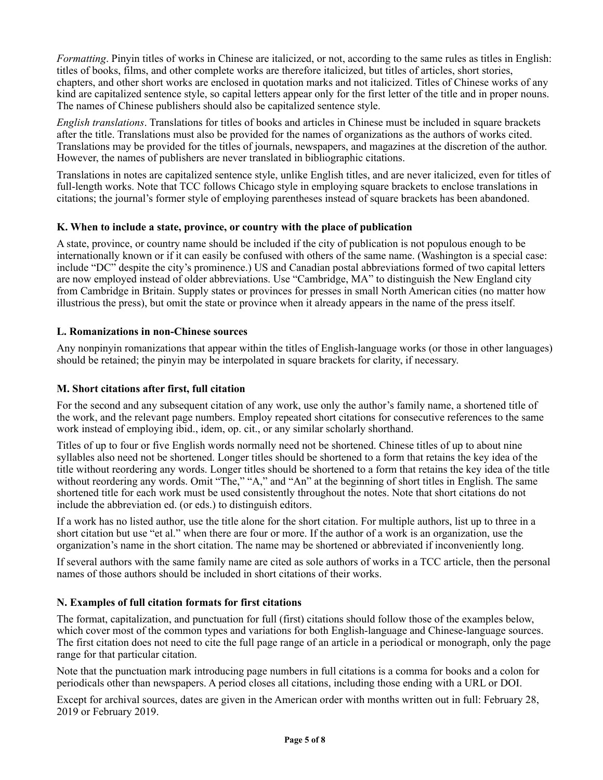*Formatting*. Pinyin titles of works in Chinese are italicized, or not, according to the same rules as titles in English: titles of books, films, and other complete works are therefore italicized, but titles of articles, short stories, chapters, and other short works are enclosed in quotation marks and not italicized. Titles of Chinese works of any kind are capitalized sentence style, so capital letters appear only for the first letter of the title and in proper nouns. The names of Chinese publishers should also be capitalized sentence style.

*English translations*. Translations for titles of books and articles in Chinese must be included in square brackets after the title. Translations must also be provided for the names of organizations as the authors of works cited. Translations may be provided for the titles of journals, newspapers, and magazines at the discretion of the author. However, the names of publishers are never translated in bibliographic citations.

Translations in notes are capitalized sentence style, unlike English titles, and are never italicized, even for titles of full-length works. Note that TCC follows Chicago style in employing square brackets to enclose translations in citations; the journal's former style of employing parentheses instead of square brackets has been abandoned.

## **K. When to include a state, province, or country with the place of publication**

A state, province, or country name should be included if the city of publication is not populous enough to be internationally known or if it can easily be confused with others of the same name. (Washington is a special case: include "DC" despite the city's prominence.) US and Canadian postal abbreviations formed of two capital letters are now employed instead of older abbreviations. Use "Cambridge, MA" to distinguish the New England city from Cambridge in Britain. Supply states or provinces for presses in small North American cities (no matter how illustrious the press), but omit the state or province when it already appears in the name of the press itself.

## **L. Romanizations in non-Chinese sources**

Any nonpinyin romanizations that appear within the titles of English-language works (or those in other languages) should be retained; the pinyin may be interpolated in square brackets for clarity, if necessary.

#### **M. Short citations after first, full citation**

For the second and any subsequent citation of any work, use only the author's family name, a shortened title of the work, and the relevant page numbers. Employ repeated short citations for consecutive references to the same work instead of employing ibid., idem, op. cit., or any similar scholarly shorthand.

Titles of up to four or five English words normally need not be shortened. Chinese titles of up to about nine syllables also need not be shortened. Longer titles should be shortened to a form that retains the key idea of the title without reordering any words. Longer titles should be shortened to a form that retains the key idea of the title without reordering any words. Omit "The," "A," and "An" at the beginning of short titles in English. The same shortened title for each work must be used consistently throughout the notes. Note that short citations do not include the abbreviation ed. (or eds.) to distinguish editors.

If a work has no listed author, use the title alone for the short citation. For multiple authors, list up to three in a short citation but use "et al." when there are four or more. If the author of a work is an organization, use the organization's name in the short citation. The name may be shortened or abbreviated if inconveniently long.

If several authors with the same family name are cited as sole authors of works in a TCC article, then the personal names of those authors should be included in short citations of their works.

#### **N. Examples of full citation formats for first citations**

The format, capitalization, and punctuation for full (first) citations should follow those of the examples below, which cover most of the common types and variations for both English-language and Chinese-language sources. The first citation does not need to cite the full page range of an article in a periodical or monograph, only the page range for that particular citation.

Note that the punctuation mark introducing page numbers in full citations is a comma for books and a colon for periodicals other than newspapers. A period closes all citations, including those ending with a URL or DOI.

Except for archival sources, dates are given in the American order with months written out in full: February 28, 2019 or February 2019.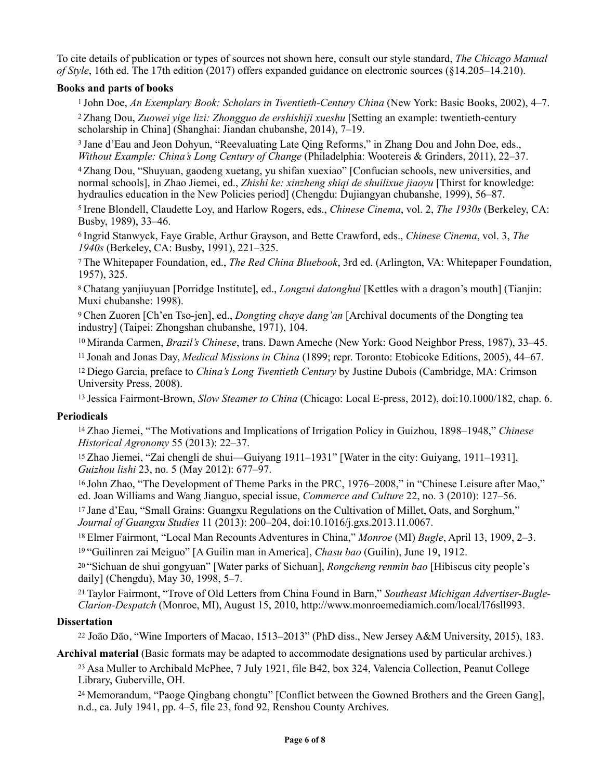To cite details of publication or types of sources not shown here, consult our style standard, *The Chicago Manual of Style*, 16th ed. The 17th edition (2017) offers expanded guidance on electronic sources (§14.205–14.210).

#### **Books and parts of books**

1 John Doe, *An Exemplary Book: Scholars in Twentieth-Century China* (New York: Basic Books, 2002), 4–7. 2 Zhang Dou, *Zuowei yige lizi: Zhongguo de ershishiji xueshu* [Setting an example: twentieth-century scholarship in China] (Shanghai: Jiandan chubanshe, 2014), 7–19.

3 Jane d'Eau and Jeon Dohyun, "Reevaluating Late Qing Reforms," in Zhang Dou and John Doe, eds., *Without Example: China's Long Century of Change* (Philadelphia: Wootereis & Grinders, 2011), 22–37.

4 Zhang Dou, "Shuyuan, gaodeng xuetang, yu shifan xuexiao" [Confucian schools, new universities, and normal schools], in Zhao Jiemei, ed., *Zhishi ke: xinzheng shiqi de shuilixue jiaoyu* [Thirst for knowledge: hydraulics education in the New Policies period] (Chengdu: Dujiangyan chubanshe, 1999), 56–87.

5 Irene Blondell, Claudette Loy, and Harlow Rogers, eds., *Chinese Cinema*, vol. 2, *The 1930s* (Berkeley, CA: Busby, 1989), 33–46.

6 Ingrid Stanwyck, Faye Grable, Arthur Grayson, and Bette Crawford, eds., *Chinese Cinema*, vol. 3, *The 1940s* (Berkeley, CA: Busby, 1991), 221–325.

7 The Whitepaper Foundation, ed., *The Red China Bluebook*, 3rd ed. (Arlington, VA: Whitepaper Foundation, 1957), 325.

8 Chatang yanjiuyuan [Porridge Institute], ed., *Longzui datonghui* [Kettles with a dragon's mouth] (Tianjin: Muxi chubanshe: 1998).

9 Chen Zuoren [Ch'en Tso-jen], ed., *Dongting chaye dang'an* [Archival documents of the Dongting tea industry] (Taipei: Zhongshan chubanshe, 1971), 104.

10 Miranda Carmen, *Brazil's Chinese*, trans. Dawn Ameche (New York: Good Neighbor Press, 1987), 33–45.

11 Jonah and Jonas Day, *Medical Missions in China* (1899; repr. Toronto: Etobicoke Editions, 2005), 44–67.

12 Diego Garcia, preface to *China's Long Twentieth Century* by Justine Dubois (Cambridge, MA: Crimson University Press, 2008).

13 Jessica Fairmont-Brown, *Slow Steamer to China* (Chicago: Local E-press, 2012), doi:10.1000/182, chap. 6.

#### **Periodicals**

14 Zhao Jiemei, "The Motivations and Implications of Irrigation Policy in Guizhou, 1898–1948," *Chinese Historical Agronomy* 55 (2013): 22–37.

15 Zhao Jiemei, "Zai chengli de shui—Guiyang 1911–1931" [Water in the city: Guiyang, 1911–1931], *Guizhou lishi* 23, no. 5 (May 2012): 677–97.

16 John Zhao, "The Development of Theme Parks in the PRC, 1976–2008," in "Chinese Leisure after Mao," ed. Joan Williams and Wang Jianguo, special issue, *Commerce and Culture* 22, no. 3 (2010): 127–56.

17 Jane d'Eau, "Small Grains: Guangxu Regulations on the Cultivation of Millet, Oats, and Sorghum," *Journal of Guangxu Studies* 11 (2013): 200–204, doi:10.1016/j.gxs.2013.11.0067.

18 Elmer Fairmont, "Local Man Recounts Adventures in China," *Monroe* (MI) *Bugle*, April 13, 1909, 2–3.

19 "Guilinren zai Meiguo" [A Guilin man in America], *Chasu bao* (Guilin), June 19, 1912.

20 "Sichuan de shui gongyuan" [Water parks of Sichuan], *Rongcheng renmin bao* [Hibiscus city people's daily] (Chengdu), May 30, 1998, 5–7.

21 Taylor Fairmont, "Trove of Old Letters from China Found in Barn," *Southeast Michigan Advertiser-Bugle-Clarion-Despatch* (Monroe, MI), August 15, 2010, http://www.monroemediamich.com/local/l76sll993.

#### **Dissertation**

<sup>22</sup> João Dão, "Wine Importers of Macao, 1513–2013" (PhD diss., New Jersey A&M University, 2015), 183.

**Archival material** (Basic formats may be adapted to accommodate designations used by particular archives.) 23 Asa Muller to Archibald McPhee, 7 July 1921, file B42, box 324, Valencia Collection, Peanut College Library, Guberville, OH.

24 Memorandum, "Paoge Qingbang chongtu" [Conflict between the Gowned Brothers and the Green Gang], n.d., ca. July 1941, pp. 4–5, file 23, fond 92, Renshou County Archives.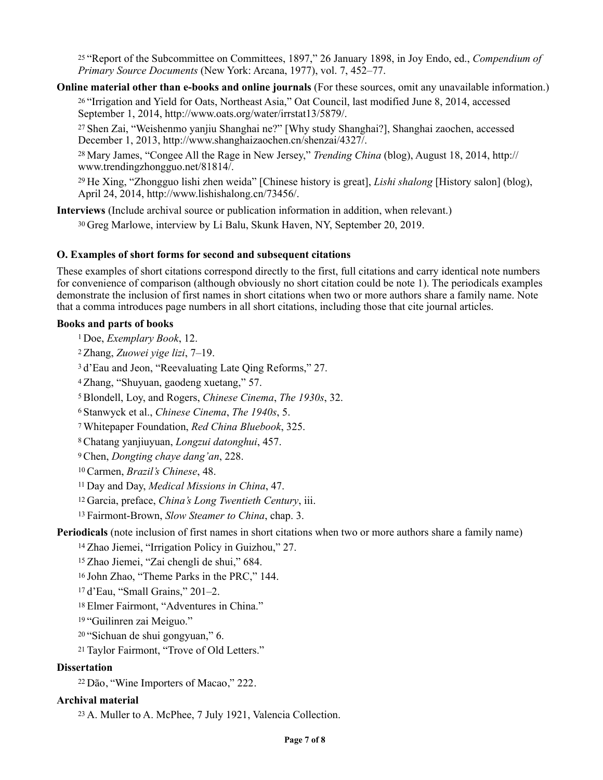25 "Report of the Subcommittee on Committees, 1897," 26 January 1898, in Joy Endo, ed., *Compendium of Primary Source Documents* (New York: Arcana, 1977), vol. 7, 452–77.

**Online material other than e-books and online journals** (For these sources, omit any unavailable information.) 26 "Irrigation and Yield for Oats, Northeast Asia," Oat Council, last modified June 8, 2014, accessed September 1, 2014, http://www.oats.org/water/irrstat13/5879/.

27 Shen Zai, "Weishenmo yanjiu Shanghai ne?" [Why study Shanghai?], Shanghai zaochen, accessed December 1, 2013, http://www.shanghaizaochen.cn/shenzai/4327/.

28 Mary James, "Congee All the Rage in New Jersey," *Trending China* (blog), August 18, 2014, http:// www.trendingzhongguo.net/81814/.

29 He Xing, "Zhongguo lishi zhen weida" [Chinese history is great], *Lishi shalong* [History salon] (blog), April 24, 2014, http://www.lishishalong.cn/73456/.

**Interviews** (Include archival source or publication information in addition, when relevant.)

30 Greg Marlowe, interview by Li Balu, Skunk Haven, NY, September 20, 2019.

## **O. Examples of short forms for second and subsequent citations**

These examples of short citations correspond directly to the first, full citations and carry identical note numbers for convenience of comparison (although obviously no short citation could be note 1). The periodicals examples demonstrate the inclusion of first names in short citations when two or more authors share a family name. Note that a comma introduces page numbers in all short citations, including those that cite journal articles.

## **Books and parts of books**

1 Doe, *Exemplary Book*, 12.

2 Zhang, *Zuowei yige lizi*, 7–19.

3 d'Eau and Jeon, "Reevaluating Late Qing Reforms," 27.

4 Zhang, "Shuyuan, gaodeng xuetang," 57.

5 Blondell, Loy, and Rogers, *Chinese Cinema*, *The 1930s*, 32.

6 Stanwyck et al., *Chinese Cinema*, *The 1940s*, 5.

7 Whitepaper Foundation, *Red China Bluebook*, 325.

8 Chatang yanjiuyuan, *Longzui datonghui*, 457.

9 Chen, *Dongting chaye dang'an*, 228.

10 Carmen, *Brazil's Chinese*, 48.

11 Day and Day, *Medical Missions in China*, 47.

12 Garcia, preface, *China's Long Twentieth Century*, iii.

13 Fairmont-Brown, *Slow Steamer to China*, chap. 3.

**Periodicals** (note inclusion of first names in short citations when two or more authors share a family name)

14 Zhao Jiemei, "Irrigation Policy in Guizhou," 27.

15 Zhao Jiemei, "Zai chengli de shui," 684.

16 John Zhao, "Theme Parks in the PRC," 144.

17 d'Eau, "Small Grains," 201–2.

18 Elmer Fairmont, "Adventures in China."

19 "Guilinren zai Meiguo."

20 "Sichuan de shui gongyuan," 6.

21 Taylor Fairmont, "Trove of Old Letters."

#### **Dissertation**

<sup>22</sup>Dão, "Wine Importers of Macao," 222.

# **Archival material**

23 A. Muller to A. McPhee, 7 July 1921, Valencia Collection.